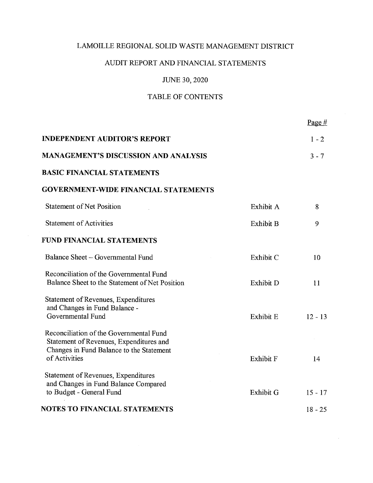# AUDIT REPORT AND FINANCIAL STATEMENTS

# JUNE 30, 2020

# TABLE OF CONTENTS

|                                                                                                                                                 |                  | Page $#$               |
|-------------------------------------------------------------------------------------------------------------------------------------------------|------------------|------------------------|
| <b>INDEPENDENT AUDITOR'S REPORT</b>                                                                                                             |                  | $1 - 2$                |
| <b>MANAGEMENT'S DISCUSSION AND ANALYSIS</b>                                                                                                     |                  | $3 - 7$                |
| <b>BASIC FINANCIAL STATEMENTS</b>                                                                                                               |                  |                        |
| <b>GOVERNMENT-WIDE FINANCIAL STATEMENTS</b>                                                                                                     |                  |                        |
| <b>Statement of Net Position</b>                                                                                                                | Exhibit A        | 8                      |
| <b>Statement of Activities</b>                                                                                                                  | Exhibit B        | 9                      |
| <b>FUND FINANCIAL STATEMENTS</b>                                                                                                                |                  |                        |
| Balance Sheet – Governmental Fund                                                                                                               | Exhibit C        | 10                     |
| Reconciliation of the Governmental Fund<br>Balance Sheet to the Statement of Net Position                                                       | Exhibit D        | 11                     |
| Statement of Revenues, Expenditures<br>and Changes in Fund Balance -<br>Governmental Fund                                                       | Exhibit E        | $12 - 13$              |
| Reconciliation of the Governmental Fund<br>Statement of Revenues, Expenditures and<br>Changes in Fund Balance to the Statement<br>of Activities | <b>Exhibit F</b> | 14                     |
| Statement of Revenues, Expenditures<br>and Changes in Fund Balance Compared                                                                     |                  |                        |
| to Budget - General Fund<br>NOTES TO FINANCIAL STATEMENTS                                                                                       | <b>Exhibit G</b> | $15 - 17$<br>$18 - 25$ |
|                                                                                                                                                 |                  |                        |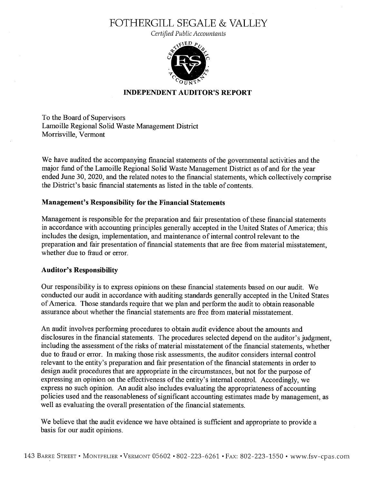# FOTHERGILL SEGALE & VALLEY

Certified Public Accountants



# INDEPENDENT AUDITOR'S REPORT

To the Board of Supervisors Lamoille Regional Solid Waste Management District Morrisville, Vermont

We have audited the accompanying financial statements of the governmental activities and the major fund of the Lamoille Regional Solid Waste Management District as of and for the year ended June 30, 2020, and the related notes to the financial statements, which collectively comprise the District's basic financial statements as listed in the table of contents.

### Management's Responsibility for the Financial Statements

Management is responsible for the preparation and fair presentation of these financial statements in accordance With accounting principles generally accepted in the United States of America; this includes the design, implementation, and maintenance of internal control relevant to the preparation and fair presentation of financial statements that are fiee fiom material misstatement, whether due to fraud or error.

### Auditor's Responsibility

Our responsibility is to express opinions on these financial statements based on our audit. We conducted our audit in accordance with auditing standards generally accepted in the United States of America. Those standards require that we plan and perform the audit to obtain reasonable assurance about whether the financial statements are free from material misstatement.

An audit involves performing procedures to obtain audit evidence about the amounts and disclosures in the financial statements. The procedures selected depend on the auditor's judgment, including the assessment of the risks of material misstatement of the financial statements, whether due to fiaud or error. In making those risk assessments, the auditor considers internal control relevant to the entity's preparation and fair presentation of the financial statements in order to design audit procedures that are appropriate in the circumstances, but not for the purpose of expressing an opinion on the effectiveness of the entity's internal control. Accordingly, we express no such opinion. An audit also includes evaluating the appropriateness of accounting policies used and the reasonableness of significant accounting estimates made by management, as well as evaluating the overall presentation of the financial statements.

We believe that the audit evidence we have obtained is sufficient and appropriate to provide a basis for our audit opinions.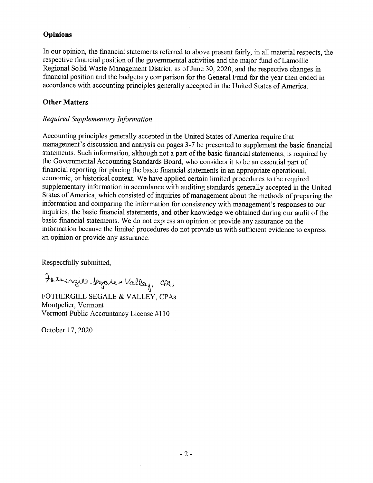### Opinions

In our opinion, the financial statements referred to above present fairly, in all material respects, the respective financial position of the governmental activities and the major fund of Lamoille Regional Solid Waste Management District, as of June 30, 2020, and the respective changes in financial position and the budgetary comparison for the General Fund for the year then ended in accordance With accounting principles generally accepted in the United States of America.

# Other Matters

# Required Supplementary Information

Accounting principles generally accepted in the United States of America require that management's discussion and analysis on pages 3-7 be presented to supplement the basic financial statements. Such information, although not a part of the basic financial statements, is required by the Governmental Accounting Standards Board, who considers it to be an essential part of financial reporting for placing the basic financial statements in an appropriate operational, economic, or historical context. We have applied certain limited procedures to the required supplementary information in accordance with auditing standards generally accepted in the United States of America, which consisted of inquiries of management about the methods of preparing the information and comparing the information for consistency with management's responses to our inquiries, the basic financial statements, and other knowledge we obtained during our audit of the basic financial statements. We do not express an opinion or provide any assurance on the information because the limited procedures do not provide us with sufficient evidenca to express an opinion or provide any assurance.

Respectfillly submitted,

Fathergiel Segate " Valley, CPA:

FOTHERGILL SEGALE & VALLEY, CPAs Montpelier, Vermont Vermont Public Accountancy License #110

October 17, 2020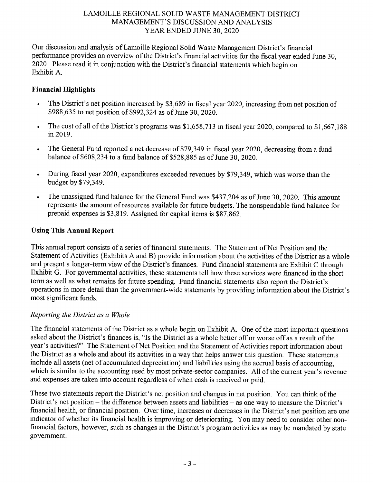Our discussion and analysis of Lamoille Regional Solid Waste Management District's financial performance provides an overview of the District's financial activities for the fiscal year ended June 30, 2020. Please read it in conjunction with the District's financial statements Which begin on Exhibit A.

# Financial Highlights

- . The District's net position increased by \$3,689 in fiscal year 2020, increasing from net position of \$988,635 to net position of \$992,324 as of June 30, 2020.
- . The cost of all of the District's programs was \$1,658,713 in fiscal year 2020, compared to \$1,667,188 in 2019.
- The General Fund reported a net decrease of \$79,349 in fiscal year 2020, decreasing from a fund balance of \$608,234 to a fund balance of \$528,885 as of June 30, 2020.
- During fiscal year 2020, expenditures exceeded revenues by \$79,349, which was worse than the budget by \$79,349.
- The unassigned fund balance for the General Fund was \$437,204 as of June 30, 2020. This amount represents the amount of resources available for filture budgets. The nonspendable fund balance for prepaid expenses is \$3,819. Assigned for capital items is \$87,862.

# Using This Annual Report

This annual report consists of a series of financial statements. The Statement of Net Position and the Statement of Activities (Exhibits A and B) provide information about the activities of the District as a whole and present a longer-term view of the District's finances. Fund financial statements are Exhibit C through Exhibit G. For governmental activities, these statements tell how these services were financed in the short term as well as what remains for future spending. Fund financial statements also report the District's operations in more detail than the government-Wide statements by providing information about the District's most significant fimds.

# Reporting the District as a Whole

The financial statements of the District as whole begin on Exhibit A. One of the most important questions asked about the District's finances is, "Is the District as a whole better off or worse off as a result of the year's activities?" The Statement of Net Position and the Statement of Activities report information about the District as a whole and about its activities in a way that helps answer this question. These statements include all assets (net of accumulated depreciation) and liabilities using the accrual basis of accounting, which is similar to the accounting used by most private-sector companies. All of the current year's revenue and expenses are taken into account regardless ofwhen cash is received or paid.

These two statements report the District's net position and changes in net position. You can think of the District's net position — the difference between assets and liabilities — as one way to measure the District's financial health, or financial position. Over time, increases or decreases in the District's net position are one indicator of whether its financial health is improving or deteriorating. You may need to consider other nonfinancial factors, however, such as changes in the District's program activities as may be mandated by state government.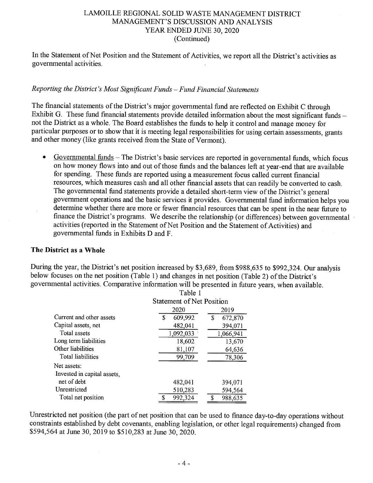In the Statement of Net Position and the Statement of Activities, we report all the District's activities as governmental activities.

# Reporting the District's Most Significant Funds - Fund Financial Statements

The financial statements of the District's major governmental fund are reflected on Exhibit C through Exhibit G. These fund financial statements provide detailed information about the most significant funds not the District as whole. The Board establishes the funds to help it control and manage money for particular purposes or to show that it is meeting legal responsibilities for using certain assessments, grants and other money (like grants received from the State of Vermont).

 $\bullet$ Governmental funds — The District's basic services are reported in governmental funds, which focus on how money flows into and out of those funds and the balances left at year-end that are available for spending. These funds are reported using a measurement focus called current financial resources, which measures cash and all other financial assets that can readily be converted to cash. The governmental fund statements provide a detailed short-term view of the District's general government operations and the basic services it provides. Governmental fund information helps you determine whether there are more or fewer financial resources that can be spent in the near future to finance the District's programs. We describe the relationship (or differences) between governmental ' activities (reported in the Statement of Net Position and the Statement of Activities) and governmental funds in Exhibits D and F.

### The District as a Whole

During the year, the District's net position increased by \$3,689, from \$988,635 to \$992,324. Our analysis below focuses on the net position (Table 1) and changes in net position (Table 2) of the District's governmental activities. Comparative information will be presented in filture years, when available. Table <sup>1</sup>

|                             | танно т                          |               |  |  |
|-----------------------------|----------------------------------|---------------|--|--|
|                             | <b>Statement of Net Position</b> |               |  |  |
|                             | 2020                             | 2019          |  |  |
| Current and other assets    | 609,992<br>\$                    | \$<br>672,870 |  |  |
| Capital assets, net         | 482,041                          | 394,071       |  |  |
| Total assets                | 1,092,033                        | 1,066,941     |  |  |
| Long term liabilities       | 18,602                           | 13,670        |  |  |
| Other liabilities           | 81,107                           | 64,636        |  |  |
| Total liabilities           | 99,709                           | 78,306        |  |  |
| Net assets:                 |                                  |               |  |  |
| Invested in capital assets. |                                  |               |  |  |
| net of debt                 | 482,041                          | 394,071       |  |  |
| Unrestricted                | 510,283                          | 594,564       |  |  |
| Total net position          | 992,324<br>œ                     | ¢<br>988,635  |  |  |
|                             |                                  |               |  |  |

Unrestricted net position (the part of net position that can be used to finance day—to-day operations without constraints established by debt covenants, enabling legislation, or other legal requirements) changed from \$594,564 at June 30, 2019 to \$510,283 at June 30, 2020.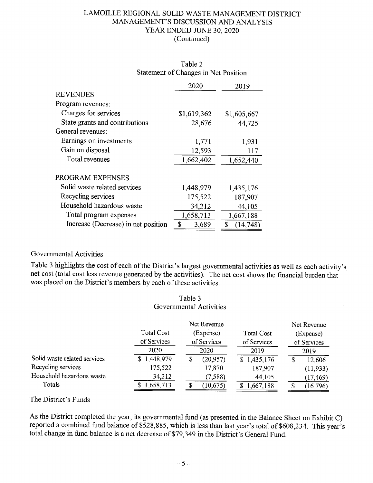|                                     | 2020        | 2019            |
|-------------------------------------|-------------|-----------------|
| <b>REVENUES</b>                     |             |                 |
| Program revenues:                   |             |                 |
| Charges for services                | \$1,619,362 | \$1,605,667     |
| State grants and contributions      | 28,676      | 44,725          |
| General revenues:                   |             |                 |
| Earnings on investments             | 1,771       | 1,931           |
| Gain on disposal                    | 12,593      | 117             |
| Total revenues                      | 1,662,402   | 1,652,440       |
| PROGRAM EXPENSES                    |             |                 |
| Solid waste related services        | 1,448,979   | 1,435,176       |
| Recycling services                  | 175,522     | 187,907         |
| Household hazardous waste           | 34,212      | 44,105          |
| Total program expenses              | 1,658,713   | 1,667,188       |
| Increase (Decrease) in net position | \$<br>3,689 | \$<br>(14, 748) |

# Table 2 Statement of Changes in Net Position

# Governmental Activities

Table 3 highlights the cost of each of the District's largest governmental activities as well as each activity's net cost (total cost less revenue generated by the activities). The net cost shows the financial burden that was placed on the District's members by each of these activities.

|                              |                   | Governmental Activities |                   |                |
|------------------------------|-------------------|-------------------------|-------------------|----------------|
|                              |                   | Net Revenue             |                   | Net Revenue    |
|                              | <b>Total Cost</b> | (Expense)               | <b>Total Cost</b> | (Expense)      |
|                              | of Services       | of Services             | of Services       | of Services    |
|                              | 2020              | 2020                    | 2019              | 2019           |
| Solid waste related services | 1,448,979<br>S.   | (20, 957)<br>S          | \$1,435,176       | 12,606<br>S    |
| Recycling services           | 175,522           | 17,870                  | 187,907           | (11, 933)      |
| Household hazardous waste    | 34,212            | (7,588)                 | 44,105            | (17, 469)      |
| Totals                       | 1,658,713         | (10, 675)               | 1,667,188         | (16, 796)<br>Я |

# Table

# The District's Funds

As the District completed the year, its governmental fimd (as presented in the Balance Sheet on Exhibit C) reported <sup>a</sup> combined fund balance of \$528,885, which is less than last year's total of \$608,234. This year's total change in fimd balance is <sup>a</sup> net decrease of \$79,349 in the District's General Fund.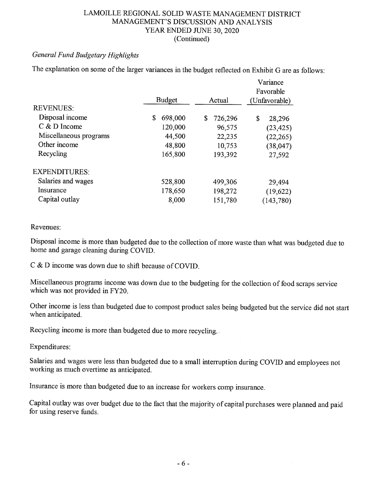# General Fund Budgetary Highlights

The explanation on some of the larger variances in the budget reflected on Exhibit G are as follows:

|                        |               |               | Variance<br>Favorable |
|------------------------|---------------|---------------|-----------------------|
|                        | <b>Budget</b> | Actual        | (Unfavorable)         |
| <b>REVENUES:</b>       |               |               |                       |
| Disposal income        | \$<br>698,000 | \$<br>726,296 | \$<br>28,296          |
| $C & D$ Income         | 120,000       | 96,575        | (23, 425)             |
| Miscellaneous programs | 44,500        | 22,235        | (22, 265)             |
| Other income           | 48,800        | 10,753        | (38, 047)             |
| Recycling              | 165,800       | 193,392       | 27,592                |
| <b>EXPENDITURES:</b>   |               |               |                       |
| Salaries and wages     | 528,800       | 499,306       | 29,494                |
| Insurance              | 178,650       | 198,272       | (19,622)              |
| Capital outlay         | 8,000         | 151,780       | (143, 780)            |

### Revenues:

Disposal income is more than budgeted due to the collection of more waste than what was budgeted due to home and garage cleaning during COVID.

C & D income was down due to shift because of COVID.

Miscellaneous programs income was down due to the budgeting for the collection of food scraps service which was not provided in FY20.

Other income is less than budgeted due to compost product sales being budgeted but the service did not start when anticipated.

Recycling income is more than budgeted due to more recycling.

Expenditures:

Salaries and wages were less than budgeted due to a small interruption during COVID and employees not working as much overtime as anticipated.

Insurance is more than budgeted due to an increase for workers comp insurance.

Capital outlay was over budget due to the fact that the majority of capital purchases were planned and paid for using reserve funds.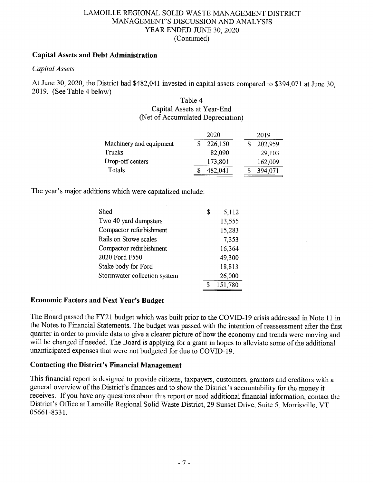# Capital Assets and Debt Administration

# Capital Assets

At June 30, 2020, the District had \$482,041 invested in capital assets compared to \$394,071 at June 30, 2019. (See Table 4 below)

### Table 4 Capital Assets at Year—End (Net of Accumulated Depreciation)

|                         | 2020    | 2019    |
|-------------------------|---------|---------|
| Machinery and equipment | 226,150 | 202,959 |
| Trucks                  | 82,090  | 29,103  |
| Drop-off centers        | 173,801 | 162,009 |
| Totals                  | 482,041 | 394,071 |

The year's major additions Which were capitalized include:

| Shed                         | \$ | 5,112   |
|------------------------------|----|---------|
| Two 40 yard dumpsters        |    | 13,555  |
| Compactor refurbishment      |    | 15,283  |
| Rails on Stowe scales        |    | 7,353   |
| Compactor refurbishment      |    | 16,364  |
| 2020 Ford F550               |    | 49,300  |
| Stake body for Ford          |    | 18,813  |
| Stormwater collection system |    | 26,000  |
|                              | ፍ  | 151,780 |

# Economic Factors and Next Year's Budget

The Board passed the FY21 budget which was built prior to the COVID—19 crisis addressed in Note <sup>11</sup> in the Notes to Financial Statements. The budget was passed with the intention of reassessment after the first quarter in order to provide data to give a clearer picture of how the economy and trends were moving and will be changed if needed. The Board is applying for a grant in hopes to alleviate some of the additional unanticipated expenses that were not budgeted for due to COVID—19.

### Contacting the District's Financial Management

This financial report is designed to provide citizens, taxpayers, customers, grantors and creditors with general overview of the District's finances and to show the District's accountability for the money it receives. If you have any questions about this report or need additional financial information, contact the District's Office at Lamoille Regional Solid Waste District, 29 Sunset Drive, Suite 5, Morrisville, VT 05661-8331.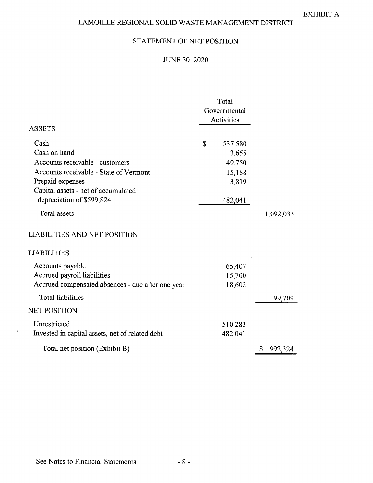# STATEMENT OF NET POSITION

# JUNE 30, 2020

|                                                   | Total<br>Governmental<br><b>Activities</b> |           |
|---------------------------------------------------|--------------------------------------------|-----------|
| <b>ASSETS</b>                                     |                                            |           |
| Cash                                              | \$<br>537,580                              |           |
| Cash on hand                                      | 3,655                                      |           |
| Accounts receivable - customers                   | 49,750                                     |           |
| Accounts receivable - State of Vermont            | 15,188                                     |           |
| Prepaid expenses                                  | 3,819                                      |           |
| Capital assets - net of accumulated               |                                            |           |
| depreciation of \$599,824                         | 482,041                                    |           |
| Total assets                                      |                                            | 1,092,033 |
| <b>LIABILITIES AND NET POSITION</b>               |                                            |           |
| <b>LIABILITIES</b>                                |                                            |           |
| Accounts payable                                  | 65,407                                     |           |
| Accrued payroll liabilities                       | 15,700                                     |           |
| Accrued compensated absences - due after one year | 18,602                                     |           |
| <b>Total liabilities</b>                          |                                            | 99,709    |
| <b>NET POSITION</b>                               |                                            |           |
| Unrestricted                                      | 510,283                                    |           |
| Invested in capital assets, net of related debt   | 482,041                                    |           |
| Total net position (Exhibit B)                    |                                            | 992,324   |

 $\mathcal{L}$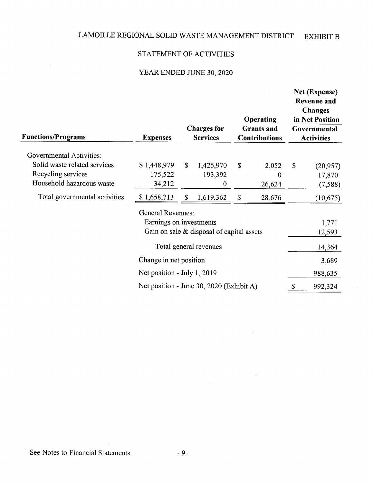# STATEMENT OF ACTIVITIES

# YEAR ENDED JUNE 30, 2020

| <b>Functions/Programs</b>       | <b>Expenses</b>                          |               | <b>Charges for</b><br><b>Services</b>       | <b>Operating</b><br><b>Grants</b> and<br><b>Contributions</b> | Net (Expense)<br><b>Revenue and</b><br><b>Changes</b><br>in Net Position<br>Governmental<br><b>Activities</b> |
|---------------------------------|------------------------------------------|---------------|---------------------------------------------|---------------------------------------------------------------|---------------------------------------------------------------------------------------------------------------|
| <b>Governmental Activities:</b> |                                          |               |                                             |                                                               |                                                                                                               |
| Solid waste related services    | \$1,448,979                              | <sup>\$</sup> | 1,425,970                                   | \$<br>2,052                                                   | \$<br>(20, 957)                                                                                               |
| Recycling services              | 175,522                                  |               | 193,392                                     | $\bf{0}$                                                      | 17,870                                                                                                        |
| Household hazardous waste       | 34,212                                   |               | $\bf{0}$                                    | 26,624                                                        | (7, 588)                                                                                                      |
| Total governmental activities   | \$1,658,713                              | $\mathbb{S}$  | 1,619,362                                   | \$<br>28,676                                                  | (10, 675)                                                                                                     |
|                                 | <b>General Revenues:</b>                 |               |                                             |                                                               |                                                                                                               |
|                                 | Earnings on investments                  |               |                                             |                                                               | 1,771                                                                                                         |
|                                 |                                          |               | Gain on sale $&$ disposal of capital assets |                                                               | 12,593                                                                                                        |
|                                 |                                          |               | Total general revenues                      |                                                               | 14,364                                                                                                        |
|                                 | Change in net position                   |               |                                             |                                                               | 3,689                                                                                                         |
|                                 | Net position - July 1, 2019              |               |                                             |                                                               | 988,635                                                                                                       |
|                                 | Net position - June 30, 2020 (Exhibit A) |               |                                             |                                                               | \$<br>992,324                                                                                                 |

 $\mathcal{L}_{\text{eff}}$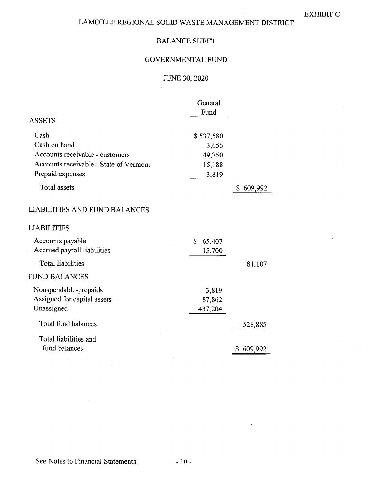# BALANCE SHEET

# GOVERNMENTAL FUND

# JUNE 30, 2020

|                                                                                               | General<br>Fund            |               |
|-----------------------------------------------------------------------------------------------|----------------------------|---------------|
| <b>ASSETS</b>                                                                                 |                            |               |
| Cash<br>Cash on hand                                                                          | \$537,580<br>3,655         |               |
| Accounts receivable - customers<br>Accounts receivable - State of Vermont<br>Prepaid expenses | 49,750<br>15,188<br>3,819  |               |
| <b>Total assets</b>                                                                           |                            | 609,992<br>\$ |
| <b>LIABILITIES AND FUND BALANCES</b>                                                          |                            |               |
| LIABILITIES                                                                                   |                            |               |
| Accounts payable<br>Accrued payroll liabilities                                               | \$<br>65,407<br>15,700     |               |
| <b>Total liabilities</b>                                                                      |                            | 81,107        |
| <b>FUND BALANCES</b>                                                                          |                            |               |
| Nonspendable-prepaids<br>Assigned for capital assets<br>Unassigned                            | 3,819<br>87,862<br>437,204 |               |
| Total fund balances                                                                           |                            | 528,885       |
| Total liabilities and<br>fund balances                                                        |                            | 609,992<br>\$ |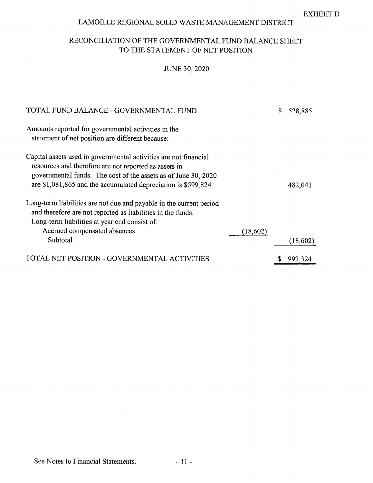# RECONCILIATION OF THE GOVERNMENTAL FUND BALANCE SHEET TO THE STATEMENT OF NET POSITION

# JUNE 30, 2020

| TOTAL FUND BALANCE - GOVERNMENTAL FUND                                                                                                                                                                                                                        | 528,885   |
|---------------------------------------------------------------------------------------------------------------------------------------------------------------------------------------------------------------------------------------------------------------|-----------|
| Amounts reported for governmental activities in the<br>statement of net position are different because:                                                                                                                                                       |           |
| Capital assets used in governmental activities are not financial<br>resources and therefore are not reported as assets in<br>governmental funds. The cost of the assets as of June 30, 2020<br>are \$1,081,865 and the accumulated depreciation is \$599,824. | 482,041   |
| Long-term liabilities are not due and payable in the current period<br>and therefore are not reported as liabilities in the funds.<br>Long-term liabilities at year end consist of:<br>Accrued compensated absences<br>(18,602)<br>Subtotal                   | (18, 602) |
| TOTAL NET POSITION - GOVERNMENTAL ACTIVITIES                                                                                                                                                                                                                  | 992,324   |

 $\sim$   $\alpha$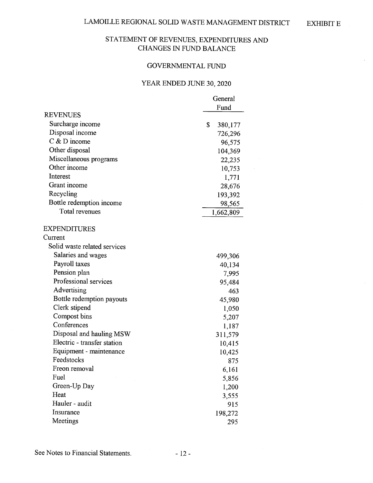# STATEMENT OF REVENUES, EXPENDITURES AND CHANGES IN FUND BALANCE

# GOVERNMENTAL FUND

# YEAR ENDED JUNE 30, 2020

|                              | General       |
|------------------------------|---------------|
|                              | Fund          |
| <b>REVENUES</b>              |               |
| Surcharge income             | \$<br>380,177 |
| Disposal income              | 726,296       |
| $C$ & D income               | 96,575        |
| Other disposal               | 104,369       |
| Miscellaneous programs       | 22,235        |
| Other income                 | 10,753        |
| Interest                     | 1,771         |
| Grant income                 | 28,676        |
| Recycling                    | 193,392       |
| Bottle redemption income     | 98,565        |
| Total revenues               | 1,662,809     |
| <b>EXPENDITURES</b>          |               |
| Current                      |               |
| Solid waste related services |               |
| Salaries and wages           | 499,306       |
| Payroll taxes                | 40,134        |
| Pension plan                 | 7,995         |
| Professional services        | 95,484        |
| Advertising                  | 463           |
| Bottle redemption payouts    | 45,980        |
| Clerk stipend                | 1,050         |
| Compost bins                 | 5,207         |
| Conferences                  | 1,187         |
| Disposal and hauling MSW     | 311,579       |
| Electric - transfer station  | 10,415        |
| Equipment - maintenance      | 10,425        |
| Feedstocks                   | 875           |
| Freon removal                | 6,161         |
| Fuel                         | 5,856         |
| Green-Up Day                 | 1,200         |
| Heat                         | 3,555         |
| Hauler - audit               | 915           |
| Insurance                    | 198,272       |
| Meetings                     | 295           |
|                              |               |

See Notes to Financial Statements. - 12 -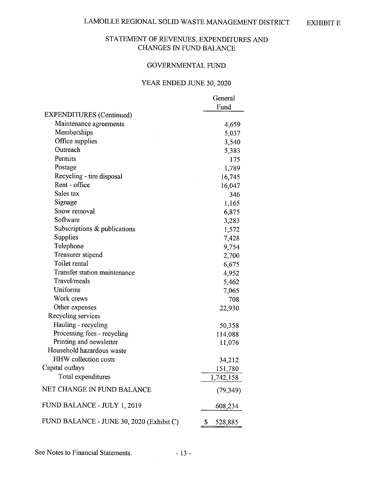# STATEMENT OF REVENUES, EXPENDITURES AND CHANGES IN FUND BALANCE

#### GOVERNMENTAL FUND

# YEAR ENDED JUNE 30, 2020

|                                          | General       |
|------------------------------------------|---------------|
|                                          | Fund          |
| <b>EXPENDITURES</b> (Continued)          |               |
| Maintenance agreements                   | 4,659         |
| Memberships                              | 5,037         |
| Office supplies                          | 3,540         |
| Outreach                                 | 5,383         |
| Permits                                  | 175           |
| Postage                                  | 1,789         |
| Recycling - tire disposal                | 16,745        |
| Rent - office                            | 16,047        |
| Sales tax                                | 346           |
| Signage                                  | 1,165         |
| Snow removal                             | 6,875         |
| Software                                 | 3,283         |
| Subscriptions & publications             | 1,572         |
| Supplies                                 | 7,428         |
| Telephone                                | 9,754         |
| Treasurer stipend                        | 2,700         |
| Toilet rental                            | 6,675         |
| Transfer station maintenance             | 4,952         |
| Travel/meals                             | 5,462         |
| Uniforms                                 | 7,065         |
| Work crews                               | 708           |
| Other expenses                           | 22,930        |
| Recycling services                       |               |
| Hauling - recycling                      | 50,358        |
| Processing fees - recycling              | 114,088       |
| Printing and newsletter                  | 11,076        |
| Household hazardous waste                |               |
| <b>HHW</b> collection costs              | 34,212        |
| Capital outlays                          | 151,780       |
| Total expenditures                       | 1,742,158     |
| NET CHANGE IN FUND BALANCE               | (79, 349)     |
| FUND BALANCE - JULY 1, 2019              | 608,234       |
| FUND BALANCE - JUNE 30, 2020 (Exhibit C) | \$<br>528,885 |

See Notes to Financial Statements. - 13 -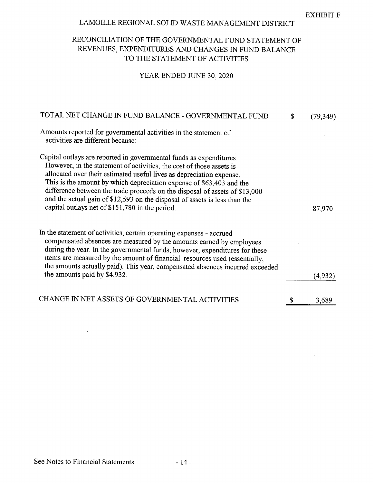EXHIBIT

# LAMOILLE REGIONAL SOLID WASTE MANAGEMENT DISTRICT

# RECONCILIATION OF THE GOVERNMENTAL FUND STATEMENT OF REVENUES, EXPENDITURES AND CHANGES IN FUND BALANCE TO THE STATEMENT OF ACTIVITIES

# YEAR ENDED JUNE 30, 2020

| TOTAL NET CHANGE IN FUND BALANCE - GOVERNMENTAL FUND                                                                                                                                                                                                                                                                                                                                                                                                                                                        | \$<br>(79,349) |
|-------------------------------------------------------------------------------------------------------------------------------------------------------------------------------------------------------------------------------------------------------------------------------------------------------------------------------------------------------------------------------------------------------------------------------------------------------------------------------------------------------------|----------------|
| Amounts reported for governmental activities in the statement of<br>activities are different because:                                                                                                                                                                                                                                                                                                                                                                                                       |                |
| Capital outlays are reported in governmental funds as expenditures.<br>However, in the statement of activities, the cost of those assets is<br>allocated over their estimated useful lives as depreciation expense.<br>This is the amount by which depreciation expense of \$63,403 and the<br>difference between the trade proceeds on the disposal of assets of \$13,000<br>and the actual gain of \$12,593 on the disposal of assets is less than the<br>capital outlays net of \$151,780 in the period. | 87,970         |
| In the statement of activities, certain operating expenses - accrued<br>compensated absences are measured by the amounts earned by employees<br>during the year. In the governmental funds, however, expenditures for these<br>items are measured by the amount of financial resources used (essentially,<br>the amounts actually paid). This year, compensated absences incurred exceeded<br>the amounts paid by \$4,932.                                                                                  | (4, 932)       |
| CHANGE IN NET ASSETS OF GOVERNMENTAL ACTIVITIES                                                                                                                                                                                                                                                                                                                                                                                                                                                             | 3,689          |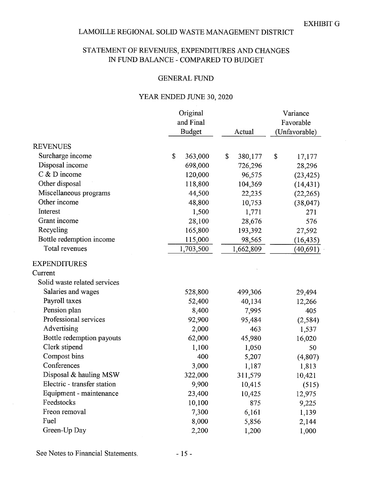# STATEMENT OF REVENUES, EXPENDITURES AND CHANGES IN FUND BALANCE - COMPARED TO BUDGET

#### GENERAL FUND

# YEAR ENDED JUNE 30, 2020

|                              | Original<br>and Final<br><b>Budget</b> | Actual        | Variance<br>Favorable<br>(Unfavorable) |  |  |
|------------------------------|----------------------------------------|---------------|----------------------------------------|--|--|
|                              |                                        |               |                                        |  |  |
| <b>REVENUES</b>              |                                        |               |                                        |  |  |
| Surcharge income             | \$<br>363,000                          | \$<br>380,177 | \$<br>17,177                           |  |  |
| Disposal income              | 698,000                                | 726,296       | 28,296                                 |  |  |
| $C$ & D income               | 120,000                                | 96,575        | (23, 425)                              |  |  |
| Other disposal               | 118,800                                | 104,369       | (14, 431)                              |  |  |
| Miscellaneous programs       | 44,500                                 | 22,235        | (22, 265)                              |  |  |
| Other income                 | 48,800                                 | 10,753        | (38, 047)                              |  |  |
| Interest                     | 1,500                                  | 1,771         | 271                                    |  |  |
| Grant income                 | 28,100                                 | 28,676        | 576                                    |  |  |
| Recycling                    | 165,800                                | 193,392       | 27,592                                 |  |  |
| Bottle redemption income     | 115,000                                | 98,565        | (16, 435)                              |  |  |
| Total revenues               | 1,703,500                              | 1,662,809     | (40,691)                               |  |  |
| <b>EXPENDITURES</b>          |                                        |               |                                        |  |  |
| Current                      |                                        |               |                                        |  |  |
| Solid waste related services |                                        |               |                                        |  |  |
| Salaries and wages           | 528,800                                | 499,306       | 29,494                                 |  |  |
| Payroll taxes                | 52,400                                 | 40,134        | 12,266                                 |  |  |
| Pension plan                 | 8,400                                  | 7,995         | 405                                    |  |  |
| Professional services        | 92,900                                 | 95,484        | (2, 584)                               |  |  |
| Advertising                  | 2,000                                  | 463           | 1,537                                  |  |  |
| Bottle redemption payouts    | 62,000                                 | 45,980        | 16,020                                 |  |  |
| Clerk stipend                | 1,100                                  | 1,050         | 50                                     |  |  |
| Compost bins                 | 400                                    | 5,207         | (4,807)                                |  |  |
| Conferences                  | 3,000                                  | 1,187         | 1,813                                  |  |  |
| Disposal & hauling MSW       | 322,000                                | 311,579       | 10,421                                 |  |  |
| Electric - transfer station  | 9,900                                  | 10,415        | (515)                                  |  |  |
| Equipment - maintenance      | 23,400                                 | 10,425        | 12,975                                 |  |  |
| Feedstocks                   | 10,100                                 | 875           | 9,225                                  |  |  |
| Freon removal                | 7,300                                  | 6,161         | 1,139                                  |  |  |
| Fuel                         | 8,000                                  | 5,856         | 2,144                                  |  |  |
| Green-Up Day                 | 2,200                                  | 1,200         | 1,000                                  |  |  |

See Notes to Financial Statements. - 15 -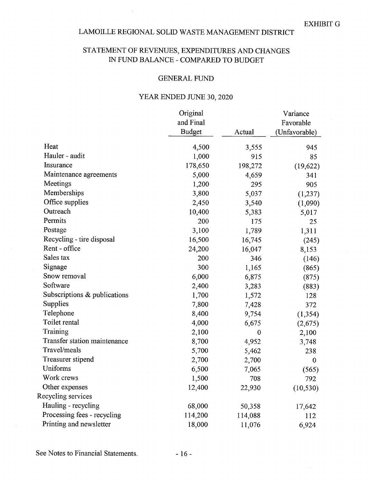$\mathcal{L}$ 

# STATEMENT OF REVENUES, EXPENDITURES AND CHANGES IN FUND BALANCE - COMPARED TO BUDGET

#### GENERAL FUND

# YEAR ENDED JUNE 30, 2020

|                              | Original      |              | Variance      |
|------------------------------|---------------|--------------|---------------|
|                              | and Final     |              | Favorable     |
|                              | <b>Budget</b> | Actual       | (Unfavorable) |
| Heat                         | 4,500         | 3,555        | 945           |
| Hauler - audit               | 1,000         | 915          | 85            |
| Insurance                    | 178,650       | 198,272      | (19, 622)     |
| Maintenance agreements       | 5,000         | 4,659        | 341           |
| Meetings                     | 1,200         | 295          | 905           |
| Memberships                  | 3,800         | 5,037        | (1, 237)      |
| Office supplies              | 2,450         | 3,540        | (1,090)       |
| Outreach                     | 10,400        | 5,383        | 5,017         |
| Permits                      | 200           | 175          | 25            |
| Postage                      | 3,100         | 1,789        | 1,311         |
| Recycling - tire disposal    | 16,500        | 16,745       | (245)         |
| Rent - office                | 24,200        | 16,047       | 8,153         |
| Sales tax                    | 200           | 346          | (146)         |
| Signage                      | 300           | 1,165        | (865)         |
| Snow removal                 | 6,000         | 6,875        | (875)         |
| Software                     | 2,400         | 3,283        | (883)         |
| Subscriptions & publications | 1,700         | 1,572        | 128           |
| Supplies                     | 7,800         | 7,428        | 372           |
| Telephone                    | 8,400         | 9,754        | (1, 354)      |
| Toilet rental                | 4,000         | 6,675        | (2,675)       |
| Training                     | 2,100         | $\mathbf{0}$ | 2,100         |
| Transfer station maintenance | 8,700         | 4,952        | 3,748         |
| Travel/meals                 | 5,700         | 5,462        | 238           |
| Treasurer stipend            | 2,700         | 2,700        | $\mathbf{0}$  |
| Uniforms                     | 6,500         | 7,065        | (565)         |
| Work crews                   | 1,500         | 708          | 792           |
| Other expenses               | 12,400        | 22,930       | (10, 530)     |
| Recycling services           |               |              |               |
| Hauling - recycling          | 68,000        | 50,358       | 17,642        |
| Processing fees - recycling  | 114,200       | 114,088      | 112           |
| Printing and newsletter      | 18,000        | 11,076       | 6,924         |

See Notes to Financial Statements. - 16 -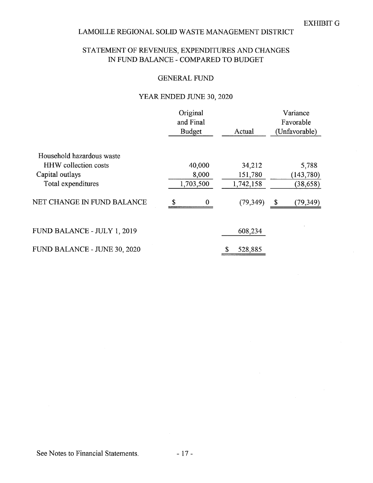# STATEMENT OF REVENUES, EXPENDITURES AND CHANGES IN FUND BALANCE - COMPARED TO BUDGET

#### GENERAL FUND

# YEAR ENDED JUNE 30, 2020

|                              | Original<br>and Final |           |               |           | Variance<br>Favorable |
|------------------------------|-----------------------|-----------|---------------|-----------|-----------------------|
|                              | <b>Budget</b>         |           | Actual        |           | (Unfavorable)         |
| Household hazardous waste    |                       |           |               |           |                       |
| <b>HHW</b> collection costs  |                       | 40,000    |               | 34,212    | 5,788                 |
| Capital outlays              |                       | 8,000     |               | 151,780   | (143, 780)            |
| Total expenditures           |                       | 1,703,500 | 1,742,158     |           | (38, 658)             |
| NET CHANGE IN FUND BALANCE   | \$                    | $\bf{0}$  |               | (79, 349) | \$<br>(79,349)        |
| FUND BALANCE - JULY 1, 2019  |                       |           | 608,234       |           |                       |
| FUND BALANCE - JUNE 30, 2020 |                       |           | 528,885<br>\$ |           |                       |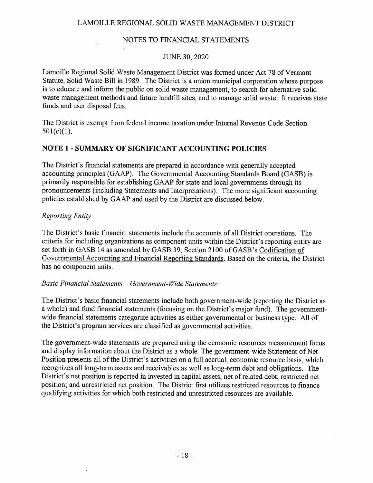#### NOTES TO FINANCIAL STATEMENTS

#### JUNE 30, 2020

Lamoille Regional Solid Waste Management District was formed under Act 78 of Vermont Statute, Solid Waste Bill in 1989. The District is a union municipal corporation whose purpose is to educate and inform the public on solid waste management, to search for alternative solid waste management methods and filture landfill sites, and to manage solid waste. It receives state funds and user disposal fees.

The District is exempt from federal income taxation under Internal Revenue Code Section  $501(c)(1)$ .

# NOTE 1 - SUMMARY OF SIGNIFICANT ACCOUNTING POLICIES

The District's financial statements are prepared in accordance with generally accepted accounting principles (GAAP). The Governmental Accounting Standards Board (GASB) is primarily responsible for establishing GAAP for state and local governments through its pronouncements (including Statements and Interpretations). The more significant accounting policies established by GAAP and used by the District are discussed below.

#### Reporting Entity

The District's basic financial statements include the accounts of all District operations. The criteria for including organizations as component units within the District's reporting entity are set forth in GASB 14 as amended by GASB 39, Section 2100 of GASB's Codification of Governmental Accounting and Financial Reporting Standards. Based on the criteria, the District has no component units.

#### Basic Financial Statements  $-Government-Wide$  Statements

The District's basic financial statements include both government-wide (reporting the District as a whole) and fund financial statements (focusing on the District's major fund). The governmentwide financial statements categorize activities as either governmental or business type. All of the District's program services are classified as governmental activities.

The government-wide statements are prepared using the economic resources measurement focus and display information about the District as a whole. The government-wide Statement of Net Position presents all of the District's activities on a full accrual, economic resource basis, which recognizes all long-term assets and receivables as well as long-term debt and obligations. The District's net position is reported in invested in capital assets, net of related debt; restricted net position; and unrestricted net position. The District first utilizes restricted resources to finance qualifying activities for which both restricted and unrestricted resources are available.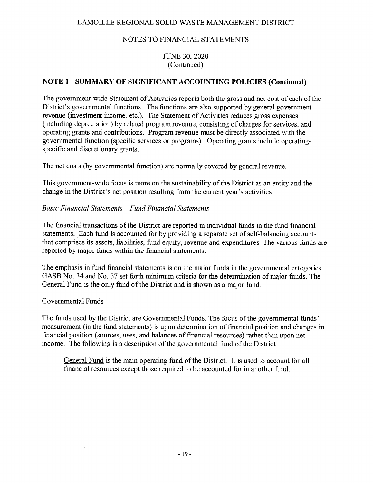### JUNE 30, 2020 (Continued)

# NOTE 1 - SUMMARY OF SIGNIFICANT ACCOUNTING POLICIES (Continued)

The government-wide Statement of Activities reports both the gross and net cost of each of the District's governmental functions. The functions are also supported by general government revenue (investment income, etc.). The Statement of Activities reduces gross expenses (including depreciation) by related program revenue, consisting of charges for services, and operating grants and contributions. Program revenue must be directly associated with the governmental fianction (specific services or programs). Operating grants include operating specific and discretionary grants.

The net costs (by governmental function) are normally covered by general revenue.

This government-wide focus is more on the sustainability of the District as an entity and the change in the District's net position resulting from the current year's activities.

### Basic Financial Statements - Fund Financial Statements

The financial transactions of the District are reported in individual funds in the fund financial statements. Each fund is accounted for by providing a separate set of self-balancing accounts that comprises its assets, liabilities, fimd equity, revenue and expenditures. The various funds are reported by major funds within the financial statements.

The emphasis in fund financial statements is on the major funds in the governmental categories. GASB No. 34 and No. 37 set forth minimum criteria for the determination of major funds. The General Fund is the only fund of the District and is shown as a major fund.

### Governmental Funds

The funds used by the District are Governmental Funds. The focus of the governmental funds' measurement (in the fund statements) is upon determination of financial position and changes in financial position (sources, uses, and balances of financial resources) rather than upon net income. The following is a description of the governmental fund of the District:

General Fund is the main operating find of the District. It is used to account for all financial resources except those required to be accounted for in another fund.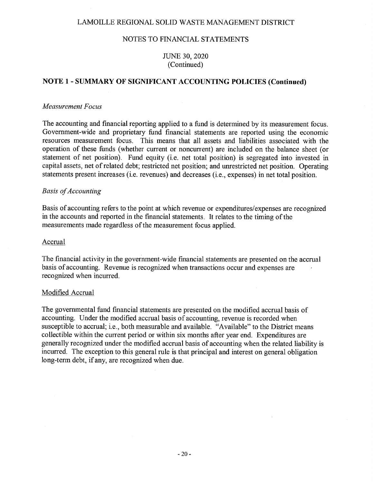#### NOTES TO FINANCIAL STATEMENTS

#### JUNE 30, 2020 (Continued)

#### NOTE 1 - SUMMARY OF SIGNIFICANT ACCOUNTING POLICIES (Continued)

#### Measurement Focus

The accounting and financial reporting applied to a fund is determined by its measurement focus. Government-wide and proprietary fund financial statements are reported using the economic resources measurement focus. This means that all assets and liabilities associated with the operation of these funds (whether current or noncurrent) are included on the balance sheet (or statement of net position). Fund equity (i.e, net total position) is segregated into invested in capital assets, net of related debt; restricted net position; and unrestricted net position. Operating statements present increases (i.e. revenues) and decreases (i.e., expenses) in net total position.

#### **Basis of Accounting**

Basis of accounting refers to the point at which revenue or expenditures/expenses are recognized in the accounts and reported in the financial statements. It relates to the timing of the measurements made regardless of the measurement focus applied.

#### Accrual

The financial activity in the government-wide financial statements are presented on the accrual basis of accounting. Revenue is recognized when transactions occur and expenses are recognized When incurred.

#### Modified Accrual

The governmental fimd financial statements are presented on the modified accrual basis of accounting. Under the modified accrual basis of accounting, revenue is recorded when susceptible to accrual; i.e., both measurable and available. "Available" to the District means collectible within the current period or Within six months after year end. Expenditures are generally recognized under the modified accrual basis of accounting when the related liability is incurred. The exception to this general rule is that principal and interest on general obligation long—term debt, if any, are recognized When due.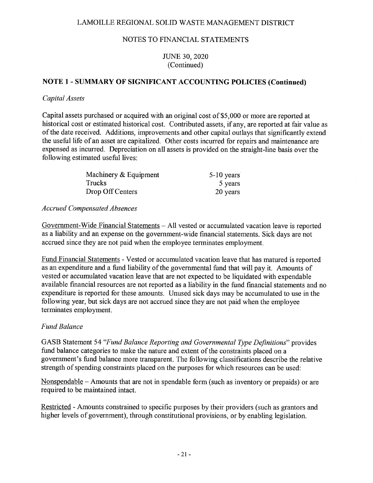# JUNE 30, 2020 (Continued)

# NOTE 1 - SUMMARY OF SIGNIFICANT ACCOUNTING POLICIES (Continued)

# Capital Assets

Capital assets purchased or acquired with an original cost of \$5,000 or more are reported at historical cost or estimated historical cost. Contributed assets, if any, are reported at fair value as of the date received. Additions, improvements and other capital outlays that significantly extend the useful life of an asset are capitalized. Other costs incurred for repairs and maintenance are expensed as incurred. Depreciation on all assets is provided on the straight-line basis over the following estimated useful lives:

| Machinery & Equipment | $5-10$ years |
|-----------------------|--------------|
| Trucks                | 5 years      |
| Drop Off Centers      | 20 years     |

### Accrued Compensated Absences

Government-Wide Financial Statements  $-$  All vested or accumulated vacation leave is reported as a liability and an expense on the government—wide financial statements. Sick days are not accrued since they are not paid when the employee terminates employment.

Fund Financial Statements - Vested or accumulated vacation leave that has matured is reported as an expenditure and <sup>a</sup> fimd liability of the governmental fund that will pay it. Amounts of vested or accumulated vacation leave that are not expected to be liquidated With expendable available financial resources are not reported as a liability in the fund financial statements and no expenditure is reported for these amounts. Unused sick days may be accumulated to use in the following year, but sick days are not accrued since they are not paid when the employee terminates employment.

# **Fund Balance**

GASB Statement 54 "Fund Balance Reporting and Governmental Type Definitions" provides fund balance categories to make the nature and extent of the constraints placed on a government's fund balance more transparent. The following classifications describe the relative strength of spending constraints placed on the purposes for Which resources can be used:

Nonspendable  $-$  Amounts that are not in spendable form (such as inventory or prepaids) or are required to be maintained intact.

Restricted — Amounts constrained to specific purposes by their providers (such as grantors and higher levels of government), through constitutional provisions, or by enabling legislation.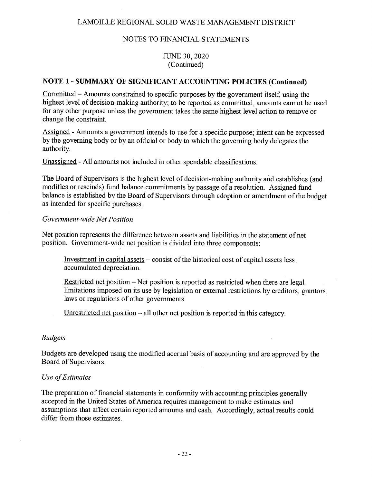#### NOTES TO FINANCIAL STATEMENTS

#### JUNE 30, 2020 (Continued)

#### NOTE 1 - SUMMARY OF SIGNIFICANT ACCOUNTING POLICIES (Continued)

Committed — Amounts constrained to specific purposes by the government itself, using the highest level of decision-making authority; to be reported as committed, amounts cannot be used for any other purpose unless the government takes the same highest level action to remove or change the constraint.

Assigned — Amounts a government intends to use for a specific purpose; intent can be expressed by the governing body or by an official or body to which the governing body delegates the authority.

Unassigned A11 amounts not included in other spendable classifications.

The Board of Supervisors is the highest level of decision-making authority and establishes (and modifies or rescinds) fund balance commitments by passage of a resolution. Assigned fund balance is established by the Board of Supervisors through adoption or amendment of the budget as intended for specific purchases.

#### Government—wide Net Position

Net position represents the difference between assets and liabilities in the statement of net position. Government-wide net position is divided into three components:

Investment in capital assets  $-$  consist of the historical cost of capital assets less accumulated depreciation.

Restricted net position — Net position is reported as restricted When there are legal limitations imposed on its use by legislation or external restrictions by creditors, grantors, laws or regulations of other governments.

Unrestricted net position — all other net position is reported in this category.

#### Budgets

Budgets are developed using the modified accrual basis of accounting and are approved by the Board of Supervisors.

#### Use of Estimates

The preparation of financial statements in conformity with accounting principles generally accepted in the United States of America requires management to make estimates and assumptions that affect certain reported amounts and cash. Accordingly, actual results could differ from those estimates.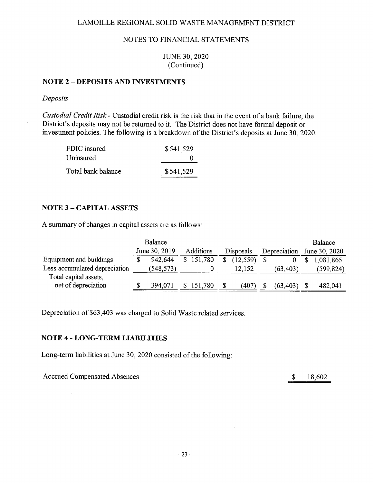#### JUNE 30, 2020 (Continued)

# NOTE 2 - DEPOSITS AND INVESTMENTS

#### Deposits

Custodial Credit Risk - Custodial credit risk is the risk that in the event of a bank failure, the District's deposits may not be returned to it. The District does not have formal deposit or investment policies. The following is a breakdown of the District's deposits at June 30, 2020.

| FDIC insured       | \$541,529    |
|--------------------|--------------|
| Uninsured          | $\mathbf{u}$ |
| Total bank balance | \$541,529    |

# **NOTE 3 - CAPITAL ASSETS**

A summary of changes in capital assets are as follows:

|                               | <b>Balance</b> |                  |    |           |              | Balance       |
|-------------------------------|----------------|------------------|----|-----------|--------------|---------------|
|                               | June 30, 2019  | <b>Additions</b> |    | Disposals | Depreciation | June 30, 2020 |
| Equipment and buildings       | 942,644        | \$151,780        | S. | (12.559)  |              | 1,081,865     |
| Less accumulated depreciation | (548, 573)     |                  |    | 12.152    | (63, 403)    | (599, 824)    |
| Total capital assets,         |                |                  |    |           |              |               |
| net of depreciation           | 394,071        | \$151,780        | \$ | (407      | (63, 403)    | 482,041       |

Depreciation of \$63,403 was charged to Solid Waste related services.

### NOTE 4 - LONG-TERM LIABILITIES

Long-term liabilities at June 30, 2020 consisted of the following:

Accrued Compensated Absences  $\qquad \qquad$  18,602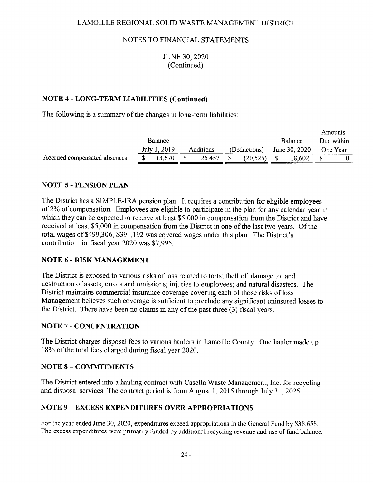#### JUNE 30, 2020 (Continued)

# NOTE 4 - LONG-TERM LIABILITIES (Continued)

The following is a summary of the changes in long-term liabilities:

|                              |                |           |              |                | Amounts    |  |
|------------------------------|----------------|-----------|--------------|----------------|------------|--|
|                              | <b>Balance</b> |           |              | <b>Balance</b> | Due within |  |
|                              | July 1, 2019   | Additions | (Deductions) | June 30, 2020  | One Year   |  |
| Accrued compensated absences | 13.670         | 25.457    | (20.525)     | 18.602         |            |  |
|                              |                |           |              |                |            |  |

# NOTE <sup>5</sup> - PENSION PLAN

The District has <sup>a</sup> SIMPLE-IRA pension plan. It requires <sup>a</sup> contribution for eligible employees of 2% of compensation. Employees are eligible to participate in the plan for any calendar year in which they can be expected to receive at least \$5,000 in compensation from the District and have received at least \$5,000 in compensation from the District in one of the last two years. Of the total wages of \$499,306, \$391,192 was covered wages under this plan. The District's contribution for fiscal year 2020 was \$7,995.

### **NOTE 6 - RISK MANAGEMENT**

The District is exposed to various risks of loss related to torts; theft of, damage to, and destruction of assets; errors and omissions; injuries to employees; and natural disasters. The District maintains commercial insurance coverage covering each of those risks of loss. Management believes such coverage is sufficient to preclude any significant uninsured losses to the District. There have been no claims in any of the past three (3) fiscal years.

#### **NOTE 7 - CONCENTRATION**

The District charges disposal fees to various haulers in Lamoille County. One hauler made up 18% of the total fees charged during fiscal year 2020.

### **NOTE 8 - COMMITMENTS**

The District entered into a hauling contract With Casella Waste Management, Inc. for recycling and disposal services. The contract period is from August 1, 2015 through July 31, 2025.

### NOTE <sup>9</sup> EXCESS EXPENDITURES OVER APPROPRIATION

For the year ended June 30, 2020, expenditures exceed appropriations in the General Fund by \$38,658. The excess expenditures were primarily funded by additional recycling revenue and use of fund balance.